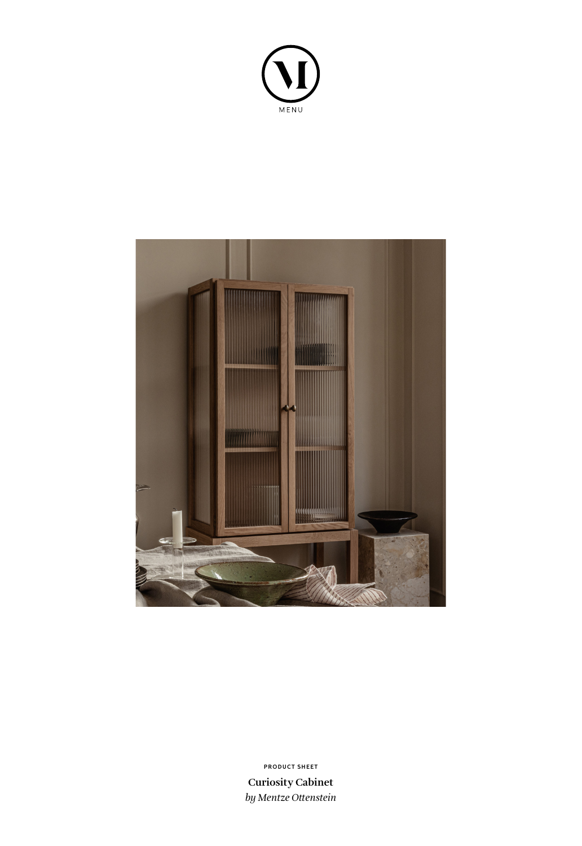



**Curiosity Cabinet** *by Mentze Ottenstein* **PRODUCT SHEET**